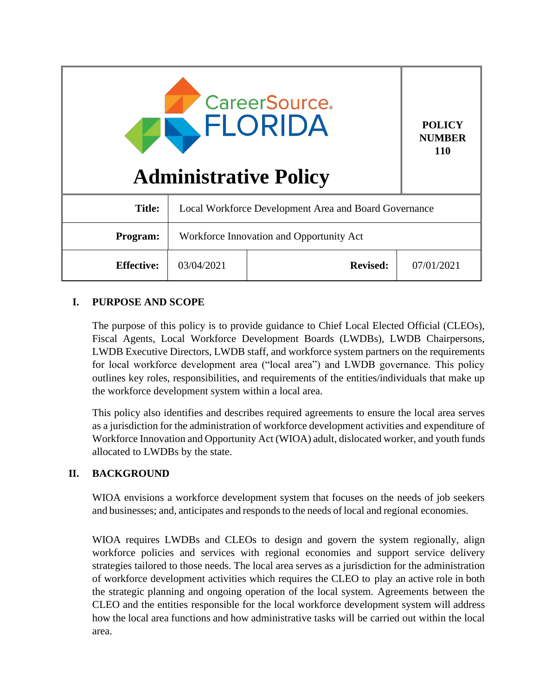| <b>CareerSource.</b><br>FLORIDA<br><b>Administrative Policy</b> |                                                       |                 | <b>POLICY</b><br><b>NUMBER</b><br><b>110</b> |
|-----------------------------------------------------------------|-------------------------------------------------------|-----------------|----------------------------------------------|
| <b>Title:</b>                                                   | Local Workforce Development Area and Board Governance |                 |                                              |
| Program:                                                        | Workforce Innovation and Opportunity Act              |                 |                                              |
| <b>Effective:</b>                                               | 03/04/2021                                            | <b>Revised:</b> | 07/01/2021                                   |

# **I. PURPOSE AND SCOPE**

The purpose of this policy is to provide guidance to Chief Local Elected Official (CLEOs), Fiscal Agents, Local Workforce Development Boards (LWDBs), LWDB Chairpersons, LWDB Executive Directors, LWDB staff, and workforce system partners on the requirements for local workforce development area ("local area") and LWDB governance. This policy outlines key roles, responsibilities, and requirements of the entities/individuals that make up the workforce development system within a local area.

This policy also identifies and describes required agreements to ensure the local area serves as a jurisdiction for the administration of workforce development activities and expenditure of Workforce Innovation and Opportunity Act (WIOA) adult, dislocated worker, and youth funds allocated to LWDBs by the state.

# **II. BACKGROUND**

WIOA envisions a workforce development system that focuses on the needs of job seekers and businesses; and, anticipates and responds to the needs of local and regional economies.

WIOA requires LWDBs and CLEOs to design and govern the system regionally, align workforce policies and services with regional economies and support service delivery strategies tailored to those needs. The local area serves as a jurisdiction for the administration of workforce development activities which requires the CLEO to play an active role in both the strategic planning and ongoing operation of the local system. Agreements between the CLEO and the entities responsible for the local workforce development system will address how the local area functions and how administrative tasks will be carried out within the local area.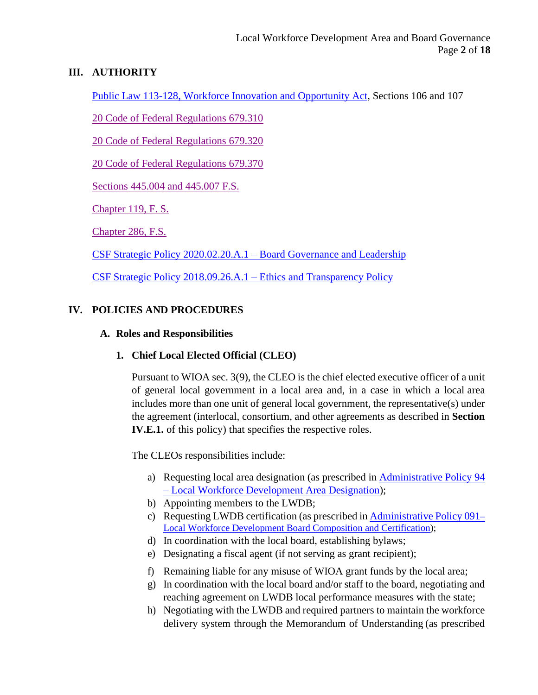### **III. AUTHORITY**

[Public Law 113-128, Workforce Innovation and Opportunity Act,](https://www.govinfo.gov/content/pkg/PLAW-113publ128/pdf/PLAW-113publ128.pdf) Sections 106 and 107

[20 Code of Federal Regulations 679.310](https://www.ecfr.gov/cgi-bin/text-idx?SID=347ab3bd845bf353074eecfa6d30ea77&mc=true&node=pt20.4.679&rgn=div5&se20.4.679_1310#se20.4.679_1310)

[20 Code of Federal Regulations 679.320](https://www.ecfr.gov/cgi-bin/text-idx?SID=347ab3bd845bf353074eecfa6d30ea77&mc=true&node=pt20.4.679&rgn=div5&se20.4.679_1310#se20.4.679_1320)

[20 Code of Federal Regulations 679.370](https://www.ecfr.gov/cgi-bin/text-idx?node=pt20.4.679&rgn=div5#se20.4.679_1370)

[Sections 445.004 and 445.007](http://www.leg.state.fl.us/statutes/index.cfm?App_mode=Display_Statute&URL=0400-0499/0445/0445ContentsIndex.html&StatuteYear=2020&Title=%2D%3E2020%2D%3EChapter%20445) F.S.

[Chapter 119, F. S.](http://www.leg.state.fl.us/statutes/index.cfm?App_mode=Display_Statute&URL=0100-0199/0119/0119ContentsIndex.html&StatuteYear=2020&Title=%2D%3E2020%2D%3EChapter%20119)

[Chapter 286, F.S.](http://www.leg.state.fl.us/statutes/index.cfm?App_mode=Display_Statute&URL=0200-0299/0286/0286ContentsIndex.html&StatuteYear=2020&Title=%2D%3E2020%2D%3EChapter%20286)

[CSF Strategic Policy 2020.02.20.A.1 –](https://careersourceflorida.com/wp-content/uploads/2020/03/Board-Governance-and-Leadership-Policy.pdf) Board Governance and Leadership

[CSF Strategic Policy 2018.09.26.A.1 –](https://careersourceflorida.com/wp-content/uploads/2018/09/09_CSF-Ethics-and-Transparency-Policy-FINAL.pdf) Ethics and Transparency Policy

# **IV. POLICIES AND PROCEDURES**

### **A. Roles and Responsibilities**

### **1. Chief Local Elected Official (CLEO)**

Pursuant to WIOA sec. 3(9), the CLEO is the chief elected executive officer of a unit of general local government in a local area and, in a case in which a local area includes more than one unit of general local government, the representative(s) under the agreement (interlocal, consortium, and other agreements as described in **Section IV.E.1.** of this policy) that specifies the respective roles.

The CLEOs responsibilities include:

- a) Requesting local area designation (as prescribed in [Administrative Policy](http://www.floridajobs.org/docs/default-source/lwdb-resources/policy-and-guidance/guidance-papers/2017-guidance-papers/localareadesignatn-ap94.pdf?sfvrsn=2e3770b0_4) [94](http://www.floridajobs.org/docs/default-source/lwdb-resources/policy-and-guidance/guidance-papers/2017-guidance-papers/localareadesignatn-ap94.pdf?sfvrsn=2e3770b0_4)  – [Local Workforce Development Area](http://www.floridajobs.org/docs/default-source/lwdb-resources/policy-and-guidance/guidance-papers/2017-guidance-papers/localareadesignatn-ap94.pdf?sfvrsn=2e3770b0_4) Designation);
- b) Appointing members to the LWDB;
- c) Requesting LWDB certification (as prescribed in [Administrative](http://floridajobs.org/docs/default-source/lwdb-resources/policy-and-guidance/guidance-papers/2021-guidance-papers/adminpolicy091_wioa-lwdb-composition-and-certification---final-01072021.pdf?sfvrsn=adb94db0_2) Policy 091[–](http://floridajobs.org/docs/default-source/lwdb-resources/policy-and-guidance/guidance-papers/2021-guidance-papers/adminpolicy091_wioa-lwdb-composition-and-certification---final-01072021.pdf?sfvrsn=adb94db0_2) [Local Workforce Development Board Composition and Certification\)](http://floridajobs.org/docs/default-source/lwdb-resources/policy-and-guidance/guidance-papers/2021-guidance-papers/adminpolicy091_wioa-lwdb-composition-and-certification---final-01072021.pdf?sfvrsn=adb94db0_2);
- d) In coordination with the local board, establishing bylaws;
- e) Designating a fiscal agent (if not serving as grant recipient);
- f) Remaining liable for any misuse of WIOA grant funds by the local area;
- g) In coordination with the local board and/or staff to the board, negotiating and reaching agreement on LWDB local performance measures with the state;
- h) Negotiating with the LWDB and required partners to maintain the workforce delivery system through the Memorandum of Understanding (as prescribed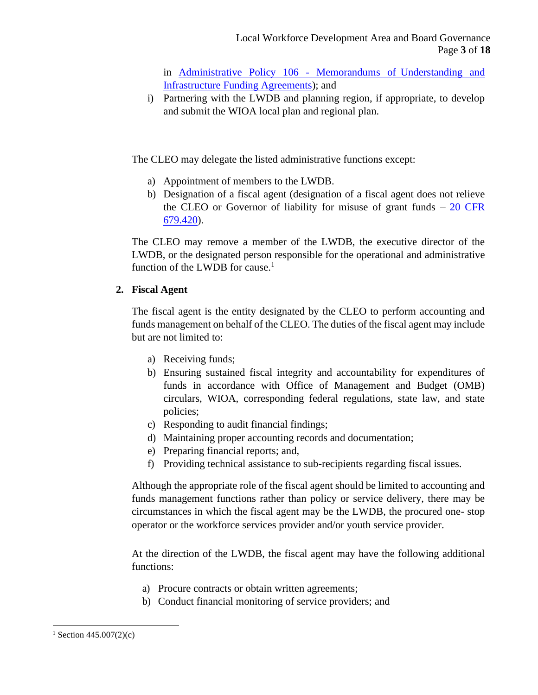in [Administrative Policy 106 -](http://floridajobs.org/docs/default-source/lwdb-resources/policy-and-guidance/guidance-papers/2020-guidance-papers/adminpolicy106_mous-and-ifas---final.pdf?sfvrsn=c88743b0_2) Memorandums of Understanding [and](http://floridajobs.org/docs/default-source/lwdb-resources/policy-and-guidance/guidance-papers/2020-guidance-papers/adminpolicy106_mous-and-ifas---final.pdf?sfvrsn=c88743b0_2)  [Infrastructure Funding Agreements\)](http://floridajobs.org/docs/default-source/lwdb-resources/policy-and-guidance/guidance-papers/2020-guidance-papers/adminpolicy106_mous-and-ifas---final.pdf?sfvrsn=c88743b0_2); and

i) Partnering with the LWDB and planning region, if appropriate, to develop and submit the WIOA local plan and regional plan.

The CLEO may delegate the listed administrative functions except:

- a) Appointment of members to the LWDB.
- b) Designation of a fiscal agent (designation of a fiscal agent does not relieve the CLEO or Governor of liability for misuse of grant funds  $-20$  CFR [679.420\)](https://www.ecfr.gov/cgi-bin/text-idx?node=pt20.4.679&rgn=div5#se20.4.679_1420).

The CLEO may remove a member of the LWDB, the executive director of the LWDB, or the designated person responsible for the operational and administrative function of the LWDB for cause.<sup>1</sup>

### **2. Fiscal Agent**

The fiscal agent is the entity designated by the CLEO to perform accounting and funds management on behalf of the CLEO. The duties of the fiscal agent may include but are not limited to:

- a) Receiving funds;
- b) Ensuring sustained fiscal integrity and accountability for expenditures of funds in accordance with Office of Management and Budget (OMB) circulars, WIOA, corresponding federal regulations, state law, and state policies;
- c) Responding to audit financial findings;
- d) Maintaining proper accounting records and documentation;
- e) Preparing financial reports; and,
- f) Providing technical assistance to sub-recipients regarding fiscal issues.

Although the appropriate role of the fiscal agent should be limited to accounting and funds management functions rather than policy or service delivery, there may be circumstances in which the fiscal agent may be the LWDB, the procured one- stop operator or the workforce services provider and/or youth service provider.

At the direction of the LWDB, the fiscal agent may have the following additional functions:

- a) Procure contracts or obtain written agreements;
- b) Conduct financial monitoring of service providers; and

 $1$  Section 445.007(2)(c)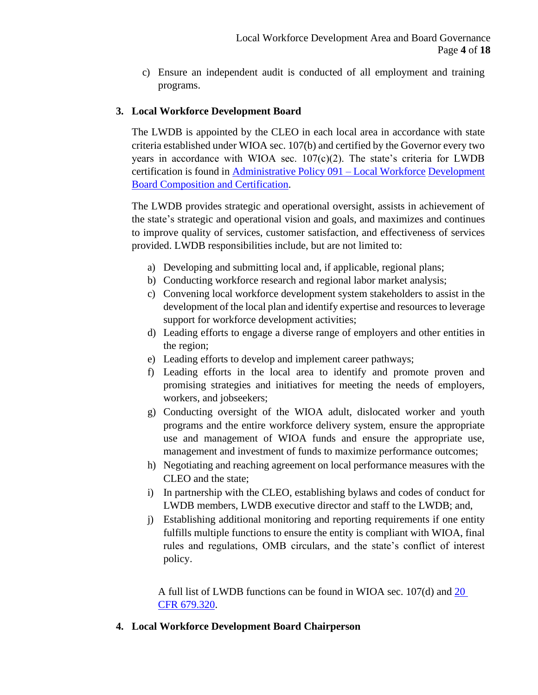c) Ensure an independent audit is conducted of all employment and training programs.

#### **3. Local Workforce Development Board**

The LWDB is appointed by the CLEO in each local area in accordance with state criteria established under WIOA sec. 107(b) and certified by the Governor every two years in accordance with WIOA sec.  $107(c)(2)$ . The state's criteria for LWDB certification is found in [Administrative Policy 091 –](http://floridajobs.org/docs/default-source/lwdb-resources/policy-and-guidance/guidance-papers/2021-guidance-papers/adminpolicy091_wioa-lwdb-composition-and-certification---final-01072021.pdf?sfvrsn=adb94db0_2) Local Workforce [Development](http://floridajobs.org/docs/default-source/lwdb-resources/policy-and-guidance/guidance-papers/2021-guidance-papers/adminpolicy091_wioa-lwdb-composition-and-certification---final-01072021.pdf?sfvrsn=adb94db0_2)  [Board Composition and Certification.](http://floridajobs.org/docs/default-source/lwdb-resources/policy-and-guidance/guidance-papers/2021-guidance-papers/adminpolicy091_wioa-lwdb-composition-and-certification---final-01072021.pdf?sfvrsn=adb94db0_2)

The LWDB provides strategic and operational oversight, assists in achievement of the state's strategic and operational vision and goals, and maximizes and continues to improve quality of services, customer satisfaction, and effectiveness of services provided. LWDB responsibilities include, but are not limited to:

- a) Developing and submitting local and, if applicable, regional plans;
- b) Conducting workforce research and regional labor market analysis;
- c) Convening local workforce development system stakeholders to assist in the development of the local plan and identify expertise and resources to leverage support for workforce development activities;
- d) Leading efforts to engage a diverse range of employers and other entities in the region;
- e) Leading efforts to develop and implement career pathways;
- f) Leading efforts in the local area to identify and promote proven and promising strategies and initiatives for meeting the needs of employers, workers, and jobseekers;
- g) Conducting oversight of the WIOA adult, dislocated worker and youth programs and the entire workforce delivery system, ensure the appropriate use and management of WIOA funds and ensure the appropriate use, management and investment of funds to maximize performance outcomes;
- h) Negotiating and reaching agreement on local performance measures with the CLEO and the state;
- i) In partnership with the CLEO, establishing bylaws and codes of conduct for LWDB members, LWDB executive director and staff to the LWDB; and,
- j) Establishing additional monitoring and reporting requirements if one entity fulfills multiple functions to ensure the entity is compliant with WIOA, final rules and regulations, OMB circulars, and the state's conflict of interest policy.

A full list of LWDB functions can be found in WIOA sec. 107(d) and [20](https://www.ecfr.gov/cgi-bin/text-idx?node=pt20.4.679&rgn=div5#se20.4.679_1370)  [CFR 679.320.](https://www.ecfr.gov/cgi-bin/text-idx?node=pt20.4.679&rgn=div5#se20.4.679_1370)

#### **4. Local Workforce Development Board Chairperson**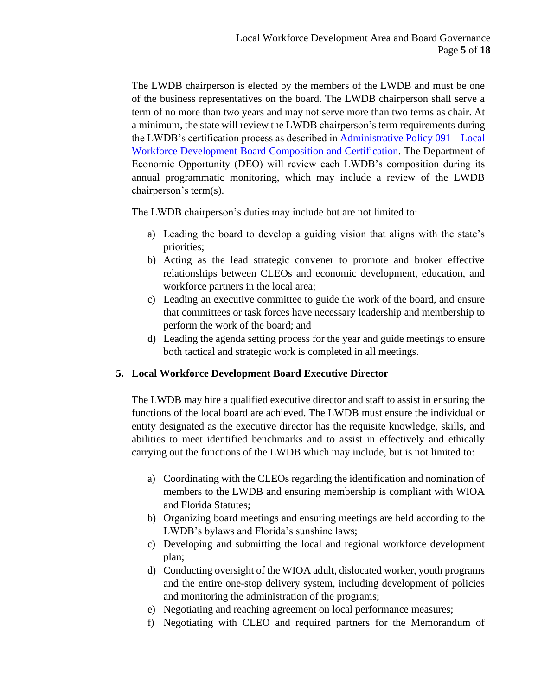The LWDB chairperson is elected by the members of the LWDB and must be one of the business representatives on the board. The LWDB chairperson shall serve a term of no more than two years and may not serve more than two terms as chair. At a minimum, the state will review the LWDB chairperson's term requirements during the LWDB's certification process as described in [Administrative](http://floridajobs.org/docs/default-source/lwdb-resources/policy-and-guidance/guidance-papers/2021-guidance-papers/ap091_lwdb-compcertificn---final-07012021.pdf?sfvrsn=b2004eb0_2) Policy 091 – Local [Workforce Development Board Composition and Certification.](http://floridajobs.org/docs/default-source/lwdb-resources/policy-and-guidance/guidance-papers/2021-guidance-papers/ap091_lwdb-compcertificn---final-07012021.pdf?sfvrsn=b2004eb0_2) The Department of Economic Opportunity (DEO) will review each LWDB's composition during its annual programmatic monitoring, which may include a review of the LWDB chairperson's term(s).

The LWDB chairperson's duties may include but are not limited to:

- a) Leading the board to develop a guiding vision that aligns with the state's priorities;
- b) Acting as the lead strategic convener to promote and broker effective relationships between CLEOs and economic development, education, and workforce partners in the local area;
- c) Leading an executive committee to guide the work of the board, and ensure that committees or task forces have necessary leadership and membership to perform the work of the board; and
- d) Leading the agenda setting process for the year and guide meetings to ensure both tactical and strategic work is completed in all meetings.

### **5. Local Workforce Development Board Executive Director**

The LWDB may hire a qualified executive director and staff to assist in ensuring the functions of the local board are achieved. The LWDB must ensure the individual or entity designated as the executive director has the requisite knowledge, skills, and abilities to meet identified benchmarks and to assist in effectively and ethically carrying out the functions of the LWDB which may include, but is not limited to:

- a) Coordinating with the CLEOs regarding the identification and nomination of members to the LWDB and ensuring membership is compliant with WIOA and Florida Statutes;
- b) Organizing board meetings and ensuring meetings are held according to the LWDB's bylaws and Florida's sunshine laws;
- c) Developing and submitting the local and regional workforce development plan;
- d) Conducting oversight of the WIOA adult, dislocated worker, youth programs and the entire one-stop delivery system, including development of policies and monitoring the administration of the programs;
- e) Negotiating and reaching agreement on local performance measures;
- f) Negotiating with CLEO and required partners for the Memorandum of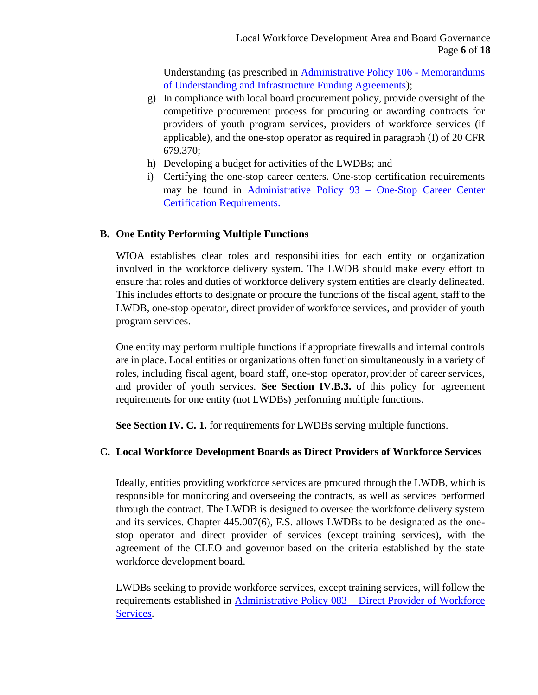Understanding (as prescribed in [Administrative Policy 106 -](http://floridajobs.org/docs/default-source/lwdb-resources/policy-and-guidance/guidance-papers/2020-guidance-papers/adminpolicy106_mous-and-ifas---final.pdf?sfvrsn=c88743b0_2) [Memorandums](http://floridajobs.org/docs/default-source/lwdb-resources/policy-and-guidance/guidance-papers/2020-guidance-papers/adminpolicy106_mous-and-ifas---final.pdf?sfvrsn=c88743b0_2)  [of Understanding and Infrastructure Funding Agreements\)](http://floridajobs.org/docs/default-source/lwdb-resources/policy-and-guidance/guidance-papers/2020-guidance-papers/adminpolicy106_mous-and-ifas---final.pdf?sfvrsn=c88743b0_2);

- g) In compliance with local board procurement policy, provide oversight of the competitive procurement process for procuring or awarding contracts for providers of youth program services, providers of workforce services (if applicable), and the one-stop operator as required in paragraph (I) of 20 CFR 679.370;
- h) Developing a budget for activities of the LWDBs; and
- i) Certifying the one-stop career centers. One-stop certification requirements may be found in [Administrative Policy 93 –](http://www.floridajobs.org/docs/default-source/2017-guidance-papers/oscc_certification-ap93.pdf?sfvrsn=4) One-Stop Career Cente[r](http://www.floridajobs.org/docs/default-source/2017-guidance-papers/oscc_certification-ap93.pdf?sfvrsn=4) [Certification Requirements.](http://www.floridajobs.org/docs/default-source/2017-guidance-papers/oscc_certification-ap93.pdf?sfvrsn=4)

### **B. One Entity Performing Multiple Functions**

WIOA establishes clear roles and responsibilities for each entity or organization involved in the workforce delivery system. The LWDB should make every effort to ensure that roles and duties of workforce delivery system entities are clearly delineated. This includes efforts to designate or procure the functions of the fiscal agent, staff to the LWDB, one-stop operator, direct provider of workforce services, and provider of youth program services.

One entity may perform multiple functions if appropriate firewalls and internal controls are in place. Local entities or organizations often function simultaneously in a variety of roles, including fiscal agent, board staff, one-stop operator,provider of career services, and provider of youth services. **See Section IV.B.3.** of this policy for agreement requirements for one entity (not LWDBs) performing multiple functions.

**See Section IV. C. 1.** for requirements for LWDBs serving multiple functions.

### **C. Local Workforce Development Boards as Direct Providers of Workforce Services**

Ideally, entities providing workforce services are procured through the LWDB, which is responsible for monitoring and overseeing the contracts, as well as services performed through the contract. The LWDB is designed to oversee the workforce delivery system and its services. Chapter 445.007(6), F.S. allows LWDBs to be designated as the onestop operator and direct provider of services (except training services), with the agreement of the CLEO and governor based on the criteria established by the state workforce development board.

LWDBs seeking to provide workforce services, except training services, will follow the requirements established in Administrative Policy 083 – [Direct Provider of Workforce](http://www.floridajobs.org/docs/default-source/lwdb-resources/policy-and-guidance/guidance-papers/2017-guidance-papers/adminpol083_wioa-dirsvcprovider.pdf?sfvrsn=351c4db0_2)  [Services.](http://www.floridajobs.org/docs/default-source/lwdb-resources/policy-and-guidance/guidance-papers/2017-guidance-papers/adminpol083_wioa-dirsvcprovider.pdf?sfvrsn=351c4db0_2)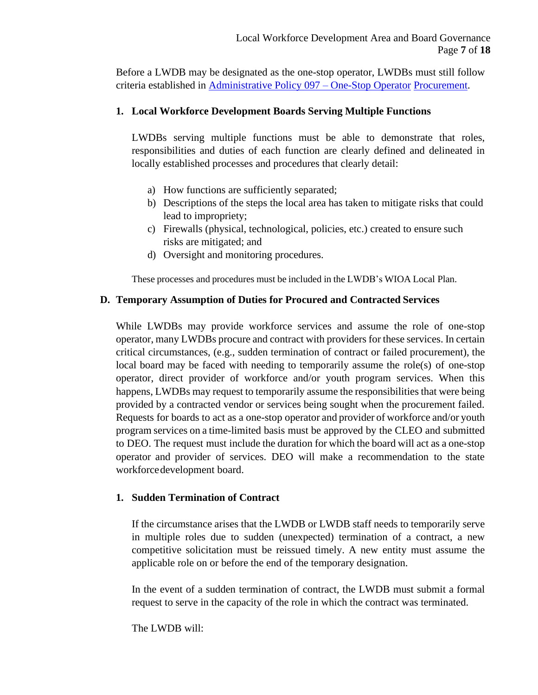Before a LWDB may be designated as the one-stop operator, LWDBs must still follow criteria established in [Administrative Policy 097 –](http://www.floridajobs.org/docs/default-source/lwdb-resources/policy-and-guidance/guidance-papers/2017-guidance-papers/adminpol097_onestopprocurement_final_9252017.pdf?sfvrsn=2acd72b0_6) One-Stop Operator [Procurement.](http://www.floridajobs.org/docs/default-source/lwdb-resources/policy-and-guidance/guidance-papers/2017-guidance-papers/adminpol097_onestopprocurement_final_9252017.pdf?sfvrsn=2acd72b0_6)

### **1. Local Workforce Development Boards Serving Multiple Functions**

LWDBs serving multiple functions must be able to demonstrate that roles, responsibilities and duties of each function are clearly defined and delineated in locally established processes and procedures that clearly detail:

- a) How functions are sufficiently separated;
- b) Descriptions of the steps the local area has taken to mitigate risks that could lead to impropriety;
- c) Firewalls (physical, technological, policies, etc.) created to ensure such risks are mitigated; and
- d) Oversight and monitoring procedures.

These processes and procedures must be included in the LWDB's WIOA Local Plan.

#### **D. Temporary Assumption of Duties for Procured and Contracted Services**

While LWDBs may provide workforce services and assume the role of one-stop operator, many LWDBs procure and contract with providers for these services. In certain critical circumstances, (e.g., sudden termination of contract or failed procurement), the local board may be faced with needing to temporarily assume the role(s) of one-stop operator, direct provider of workforce and/or youth program services. When this happens, LWDBs may request to temporarily assume the responsibilities that were being provided by a contracted vendor or services being sought when the procurement failed. Requests for boards to act as a one-stop operator and provider of workforce and/or youth program services on a time-limited basis must be approved by the CLEO and submitted to DEO. The request must include the duration for which the board will act as a one-stop operator and provider of services. DEO will make a recommendation to the state workforcedevelopment board.

#### **1. Sudden Termination of Contract**

If the circumstance arises that the LWDB or LWDB staff needs to temporarily serve in multiple roles due to sudden (unexpected) termination of a contract, a new competitive solicitation must be reissued timely. A new entity must assume the applicable role on or before the end of the temporary designation.

In the event of a sudden termination of contract, the LWDB must submit a formal request to serve in the capacity of the role in which the contract was terminated.

The LWDB will: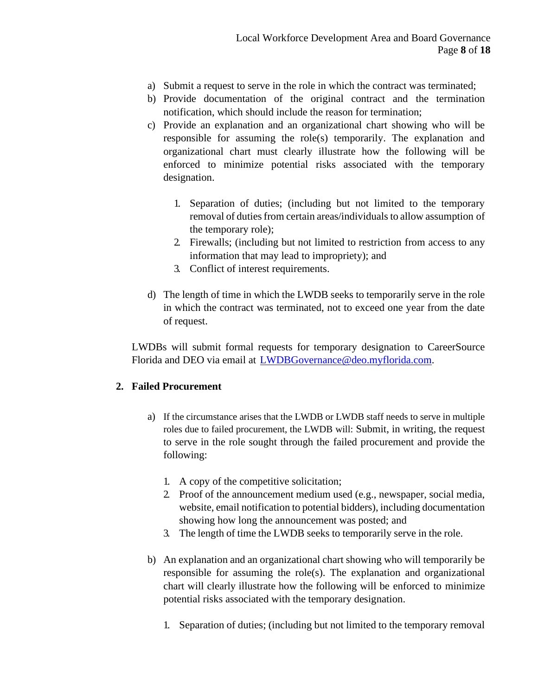- a) Submit a request to serve in the role in which the contract was terminated;
- b) Provide documentation of the original contract and the termination notification, which should include the reason for termination;
- c) Provide an explanation and an organizational chart showing who will be responsible for assuming the role(s) temporarily. The explanation and organizational chart must clearly illustrate how the following will be enforced to minimize potential risks associated with the temporary designation.
	- 1. Separation of duties; (including but not limited to the temporary removal of duties from certain areas/individuals to allow assumption of the temporary role);
	- 2. Firewalls; (including but not limited to restriction from access to any information that may lead to impropriety); and
	- 3. Conflict of interest requirements.
- d) The length of time in which the LWDB seeks to temporarily serve in the role in which the contract was terminated, not to exceed one year from the date of request.

LWDBs will submit formal requests for temporary designation to CareerSource Florida and DEO via email at [LWDBGovernance@deo.myflorida.com.](mailto:LWDBGovernance@deo.myflorida.com)

#### **2. Failed Procurement**

- a) If the circumstance arises that the LWDB or LWDB staff needs to serve in multiple roles due to failed procurement, the LWDB will: Submit, in writing, the request to serve in the role sought through the failed procurement and provide the following:
	- 1. A copy of the competitive solicitation;
	- 2. Proof of the announcement medium used (e.g., newspaper, social media, website, email notification to potential bidders), including documentation showing how long the announcement was posted; and
	- 3. The length of time the LWDB seeks to temporarily serve in the role.
- b) An explanation and an organizational chart showing who will temporarily be responsible for assuming the role(s). The explanation and organizational chart will clearly illustrate how the following will be enforced to minimize potential risks associated with the temporary designation.
	- 1. Separation of duties; (including but not limited to the temporary removal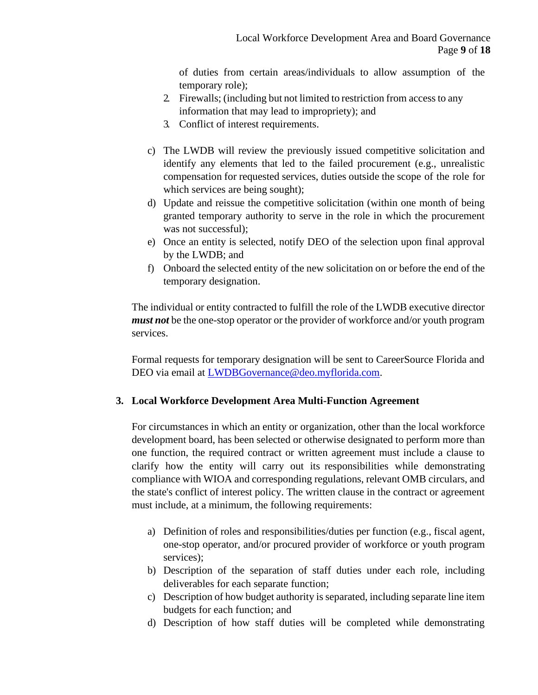of duties from certain areas/individuals to allow assumption of the temporary role);

- 2. Firewalls; (including but not limited to restriction from accessto any information that may lead to impropriety); and
- 3. Conflict of interest requirements.
- c) The LWDB will review the previously issued competitive solicitation and identify any elements that led to the failed procurement (e.g., unrealistic compensation for requested services, duties outside the scope of the role for which services are being sought);
- d) Update and reissue the competitive solicitation (within one month of being granted temporary authority to serve in the role in which the procurement was not successful);
- e) Once an entity is selected, notify DEO of the selection upon final approval by the LWDB; and
- f) Onboard the selected entity of the new solicitation on or before the end of the temporary designation.

The individual or entity contracted to fulfill the role of the LWDB executive director *must not* be the one-stop operator or the provider of workforce and/or youth program services.

Formal requests for temporary designation will be sent to CareerSource Florida and DEO via email at [LWDBGovernance@deo.myflorida.com.](mailto:LWDBGovernance@deo.myflorida.com)

#### **3. Local Workforce Development Area Multi-Function Agreement**

For circumstances in which an entity or organization, other than the local workforce development board, has been selected or otherwise designated to perform more than one function, the required contract or written agreement must include a clause to clarify how the entity will carry out its responsibilities while demonstrating compliance with WIOA and corresponding regulations, relevant OMB circulars, and the state's conflict of interest policy. The written clause in the contract or agreement must include, at a minimum, the following requirements:

- a) Definition of roles and responsibilities/duties per function (e.g., fiscal agent, one-stop operator, and/or procured provider of workforce or youth program services);
- b) Description of the separation of staff duties under each role, including deliverables for each separate function;
- c) Description of how budget authority is separated, including separate line item budgets for each function; and
- d) Description of how staff duties will be completed while demonstrating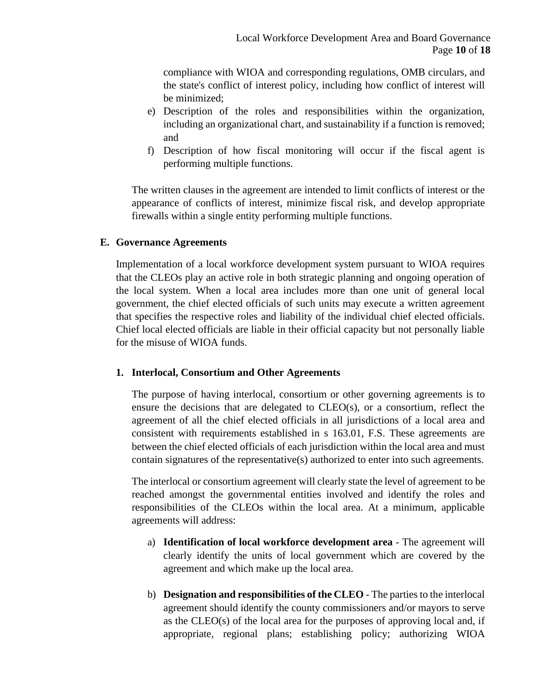compliance with WIOA and corresponding regulations, OMB circulars, and the state's conflict of interest policy, including how conflict of interest will be minimized;

- e) Description of the roles and responsibilities within the organization, including an organizational chart, and sustainability if a function is removed; and
- f) Description of how fiscal monitoring will occur if the fiscal agent is performing multiple functions.

The written clauses in the agreement are intended to limit conflicts of interest or the appearance of conflicts of interest, minimize fiscal risk, and develop appropriate firewalls within a single entity performing multiple functions.

#### **E. Governance Agreements**

Implementation of a local workforce development system pursuant to WIOA requires that the CLEOs play an active role in both strategic planning and ongoing operation of the local system. When a local area includes more than one unit of general local government, the chief elected officials of such units may execute a written agreement that specifies the respective roles and liability of the individual chief elected officials. Chief local elected officials are liable in their official capacity but not personally liable for the misuse of WIOA funds.

#### **1. Interlocal, Consortium and Other Agreements**

The purpose of having interlocal, consortium or other governing agreements is to ensure the decisions that are delegated to CLEO(s), or a consortium, reflect the agreement of all the chief elected officials in all jurisdictions of a local area and consistent with requirements established in s 163.01, F.S. These agreements are between the chief elected officials of each jurisdiction within the local area and must contain signatures of the representative(s) authorized to enter into such agreements.

The interlocal or consortium agreement will clearly state the level of agreement to be reached amongst the governmental entities involved and identify the roles and responsibilities of the CLEOs within the local area. At a minimum, applicable agreements will address:

- a) **Identification of local workforce development area** The agreement will clearly identify the units of local government which are covered by the agreement and which make up the local area.
- b) **Designation and responsibilities of the CLEO**  The parties to the interlocal agreement should identify the county commissioners and/or mayors to serve as the CLEO(s) of the local area for the purposes of approving local and, if appropriate, regional plans; establishing policy; authorizing WIOA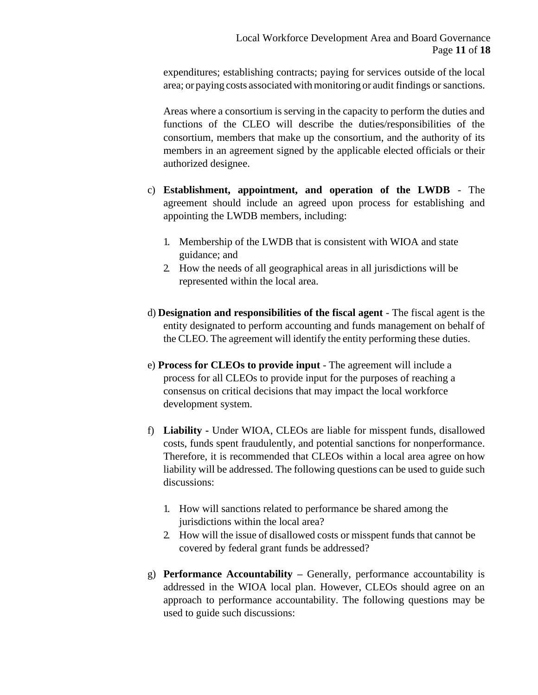expenditures; establishing contracts; paying for services outside of the local area; or paying costs associated with monitoring or audit findings or sanctions.

Areas where a consortium is serving in the capacity to perform the duties and functions of the CLEO will describe the duties/responsibilities of the consortium, members that make up the consortium, and the authority of its members in an agreement signed by the applicable elected officials or their authorized designee.

- c) **Establishment, appointment, and operation of the LWDB**  The agreement should include an agreed upon process for establishing and appointing the LWDB members, including:
	- 1. Membership of the LWDB that is consistent with WIOA and state guidance; and
	- 2. How the needs of all geographical areas in all jurisdictions will be represented within the local area.
- d) **Designation and responsibilities of the fiscal agent**  The fiscal agent is the entity designated to perform accounting and funds management on behalf of the CLEO. The agreement will identify the entity performing these duties.
- e) **Process for CLEOs to provide input**  The agreement will include a process for all CLEOs to provide input for the purposes of reaching a consensus on critical decisions that may impact the local workforce development system.
- f) **Liability -** Under WIOA, CLEOs are liable for misspent funds, disallowed costs, funds spent fraudulently, and potential sanctions for nonperformance. Therefore, it is recommended that CLEOs within a local area agree on how liability will be addressed. The following questions can be used to guide such discussions:
	- 1. How will sanctions related to performance be shared among the jurisdictions within the local area?
	- 2. How will the issue of disallowed costs or misspent funds that cannot be covered by federal grant funds be addressed?
- g) **Performance Accountability –** Generally, performance accountability is addressed in the WIOA local plan. However, CLEOs should agree on an approach to performance accountability. The following questions may be used to guide such discussions: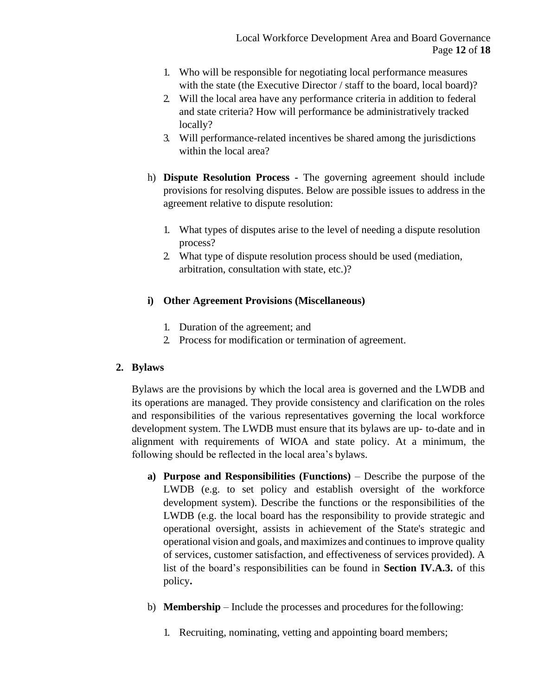- 1. Who will be responsible for negotiating local performance measures with the state (the Executive Director / staff to the board, local board)?
- 2. Will the local area have any performance criteria in addition to federal and state criteria? How will performance be administratively tracked locally?
- 3. Will performance-related incentives be shared among the jurisdictions within the local area?
- h) **Dispute Resolution Process -** The governing agreement should include provisions for resolving disputes. Below are possible issues to address in the agreement relative to dispute resolution:
	- 1. What types of disputes arise to the level of needing a dispute resolution process?
	- 2. What type of dispute resolution process should be used (mediation, arbitration, consultation with state, etc.)?

# **i) Other Agreement Provisions (Miscellaneous)**

- 1. Duration of the agreement; and
- 2. Process for modification or termination of agreement.

### **2. Bylaws**

Bylaws are the provisions by which the local area is governed and the LWDB and its operations are managed. They provide consistency and clarification on the roles and responsibilities of the various representatives governing the local workforce development system. The LWDB must ensure that its bylaws are up- to-date and in alignment with requirements of WIOA and state policy. At a minimum, the following should be reflected in the local area's bylaws.

- **a) Purpose and Responsibilities (Functions)**  Describe the purpose of the LWDB (e.g. to set policy and establish oversight of the workforce development system). Describe the functions or the responsibilities of the LWDB (e.g. the local board has the responsibility to provide strategic and operational oversight, assists in achievement of the State's strategic and operational vision and goals, and maximizes and continues to improve quality of services, customer satisfaction, and effectiveness of services provided). A list of the board's responsibilities can be found in **Section IV.A.3.** of this policy**.**
- b) **Membership**  Include the processes and procedures for the following:
	- 1. Recruiting, nominating, vetting and appointing board members;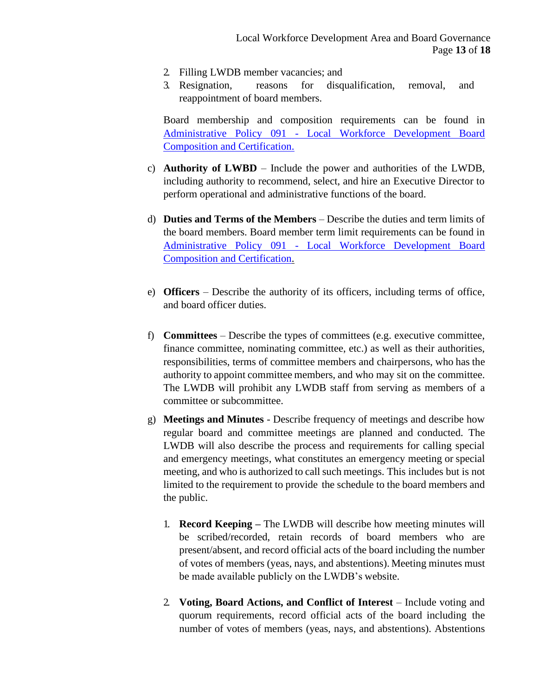- 2. Filling LWDB member vacancies; and
- 3. Resignation, reasons for disqualification, removal, and reappointment of board members.

Board membership and composition requirements can be found in Administrative Policy 091 - [Local Workforce Development Board](http://www.floridajobs.org/docs/default-source/lwdb-resources/policy-and-guidance/guidance-papers/2021-guidance-papers/adminpolicy091_wioa-lwdb-composition-and-certification---final-01072021.pdf?sfvrsn=adb94db0_2) [Composition and Certification.](http://www.floridajobs.org/docs/default-source/lwdb-resources/policy-and-guidance/guidance-papers/2021-guidance-papers/adminpolicy091_wioa-lwdb-composition-and-certification---final-01072021.pdf?sfvrsn=adb94db0_2)

- c) **Authority of LWBD** Include the power and authorities of the LWDB, including authority to recommend, select, and hire an Executive Director to perform operational and administrative functions of the board.
- d) **Duties and Terms of the Members**  Describe the duties and term limits of the board members. Board member term limit requirements can be found in Administrative Policy 091 - [Local Workforce Development Board](http://www.floridajobs.org/docs/default-source/lwdb-resources/policy-and-guidance/guidance-papers/2021-guidance-papers/adminpolicy091_wioa-lwdb-composition-and-certification---final-01072021.pdf?sfvrsn=adb94db0_2) [Composition and Certification.](http://www.floridajobs.org/docs/default-source/lwdb-resources/policy-and-guidance/guidance-papers/2021-guidance-papers/adminpolicy091_wioa-lwdb-composition-and-certification---final-01072021.pdf?sfvrsn=adb94db0_2)
- e) **Officers**  Describe the authority of its officers, including terms of office, and board officer duties.
- f) **Committees** Describe the types of committees (e.g. executive committee, finance committee, nominating committee, etc.) as well as their authorities, responsibilities, terms of committee members and chairpersons, who has the authority to appoint committee members, and who may sit on the committee. The LWDB will prohibit any LWDB staff from serving as members of a committee or subcommittee.
- g) **Meetings and Minutes** Describe frequency of meetings and describe how regular board and committee meetings are planned and conducted. The LWDB will also describe the process and requirements for calling special and emergency meetings, what constitutes an emergency meeting or special meeting, and who is authorized to call such meetings. This includes but is not limited to the requirement to provide the schedule to the board members and the public.
	- 1. **Record Keeping –** The LWDB will describe how meeting minutes will be scribed/recorded, retain records of board members who are present/absent, and record official acts of the board including the number of votes of members (yeas, nays, and abstentions). Meeting minutes must be made available publicly on the LWDB's website.
	- 2. **Voting, Board Actions, and Conflict of Interest** Include voting and quorum requirements, record official acts of the board including the number of votes of members (yeas, nays, and abstentions). Abstentions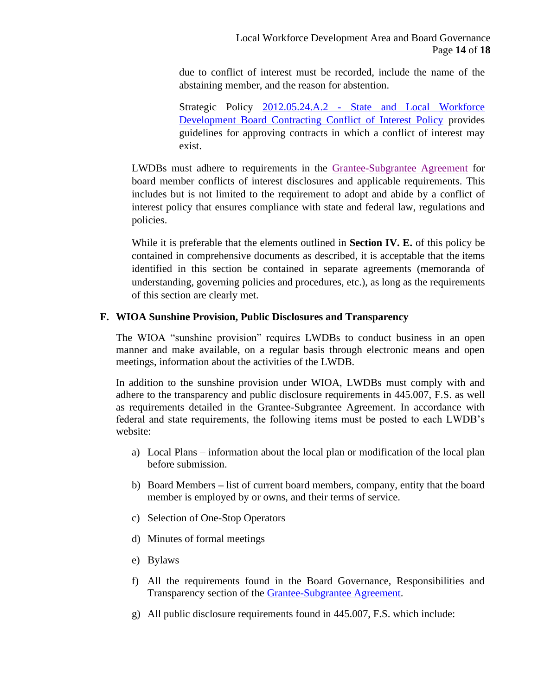due to conflict of interest must be recorded, include the name of the abstaining member, and the reason for abstention.

Strategic Policy 2012.05.24.A.2 - [State and Local Workforce](https://careersourceflorida.com/wp-content/uploads/2017/05/2012.05.24.A.2-State_LWDB-COI-Policy.pdf) [Development](https://careersourceflorida.com/wp-content/uploads/2017/05/2012.05.24.A.2-State_LWDB-COI-Policy.pdf) Board Contracting Conflict of Interest Policy provides guidelines for approving contracts in which a conflict of interest may exist.

LWDBs must adhere to requirements in the [Grantee-Subgrantee Agreement](http://www.floridajobs.org/docs/default-source/lwdb-resources/deo-lwdb-grantee-subgrantee-agreement/grantee-sub-grantee-agreement---fy21-22-(003).pdf?sfvrsn=69eb4eb0_2) for board member conflicts of interest disclosures and applicable requirements. This includes but is not limited to the requirement to adopt and abide by a conflict of interest policy that ensures compliance with state and federal law, regulations and policies.

While it is preferable that the elements outlined in **Section IV. E.** of this policy be contained in comprehensive documents as described, it is acceptable that the items identified in this section be contained in separate agreements (memoranda of understanding, governing policies and procedures, etc.), as long as the requirements of this section are clearly met.

#### **F. WIOA Sunshine Provision, Public Disclosures and Transparency**

The WIOA "sunshine provision" requires LWDBs to conduct business in an open manner and make available, on a regular basis through electronic means and open meetings, information about the activities of the LWDB.

In addition to the sunshine provision under WIOA, LWDBs must comply with and adhere to the transparency and public disclosure requirements in 445.007, F.S. as well as requirements detailed in the Grantee-Subgrantee Agreement. In accordance with federal and state requirements, the following items must be posted to each LWDB's website:

- a) Local Plans information about the local plan or modification of the local plan before submission.
- b) Board Members **–** list of current board members, company, entity that the board member is employed by or owns, and their terms of service.
- c) Selection of One-Stop Operators
- d) Minutes of formal meetings
- e) Bylaws
- f) All the requirements found in the Board Governance, Responsibilities and Transparency section of the [Grantee-Subgrantee Agreement.](http://www.floridajobs.org/docs/default-source/lwdb-resources/deo-lwdb-grantee-subgrantee-agreement/grantee-sub-grantee-agreement---fy21-22-(003).pdf?sfvrsn=69eb4eb0_2)
- g) All public disclosure requirements found in 445.007, F.S. which include: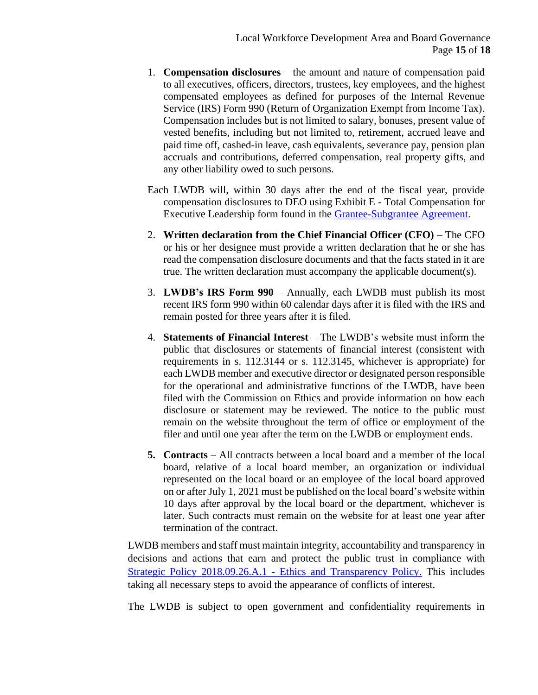- 1. **Compensation disclosures** the amount and nature of compensation paid to all executives, officers, directors, trustees, key employees, and the highest compensated employees as defined for purposes of the Internal Revenue Service (IRS) Form 990 (Return of Organization Exempt from Income Tax). Compensation includes but is not limited to salary, bonuses, present value of vested benefits, including but not limited to, retirement, accrued leave and paid time off, cashed-in leave, cash equivalents, severance pay, pension plan accruals and contributions, deferred compensation, real property gifts, and any other liability owed to such persons.
- Each LWDB will, within 30 days after the end of the fiscal year, provide compensation disclosures to DEO using Exhibit E - Total Compensation for Executive Leadership form found in the [Grantee-Subgrantee Agreement.](http://www.floridajobs.org/docs/default-source/lwdb-resources/deo-lwdb-grantee-subgrantee-agreement/grantee-sub-grantee-agreement---fy21-22-(003).pdf?sfvrsn=69eb4eb0_2)
- 2. **Written declaration from the Chief Financial Officer (CFO)**  The CFO or his or her designee must provide a written declaration that he or she has read the compensation disclosure documents and that the facts stated in it are true. The written declaration must accompany the applicable document(s).
- 3. **LWDB's IRS Form 990**  Annually, each LWDB must publish its most recent IRS form 990 within 60 calendar days after it is filed with the IRS and remain posted for three years after it is filed.
- 4. **Statements of Financial Interest**  The LWDB's website must inform the public that disclosures or statements of financial interest (consistent with requirements in s. 112.3144 or s. 112.3145, whichever is appropriate) for each LWDB member and executive director or designated person responsible for the operational and administrative functions of the LWDB, have been filed with the Commission on Ethics and provide information on how each disclosure or statement may be reviewed. The notice to the public must remain on the website throughout the term of office or employment of the filer and until one year after the term on the LWDB or employment ends.
- **5. Contracts**  All contracts between a local board and a member of the local board, relative of a local board member, an organization or individual represented on the local board or an employee of the local board approved on or after July 1, 2021 must be published on the local board's website within 10 days after approval by the local board or the department, whichever is later. Such contracts must remain on the website for at least one year after termination of the contract.

LWDB members and staff must maintain integrity, accountability and transparency in decisions and actions that earn and protect the public trust in compliance with [Strategic Policy 2018.09.26.A.1 -](https://careersourceflorida.com/wp-content/uploads/2018/09/09_CSF-Ethics-and-Transparency-Policy-FINAL.pdf) Ethics and Transparency Policy. This includes taking all necessary steps to avoid the appearance of conflicts of interest.

The LWDB is subject to open government and confidentiality requirements in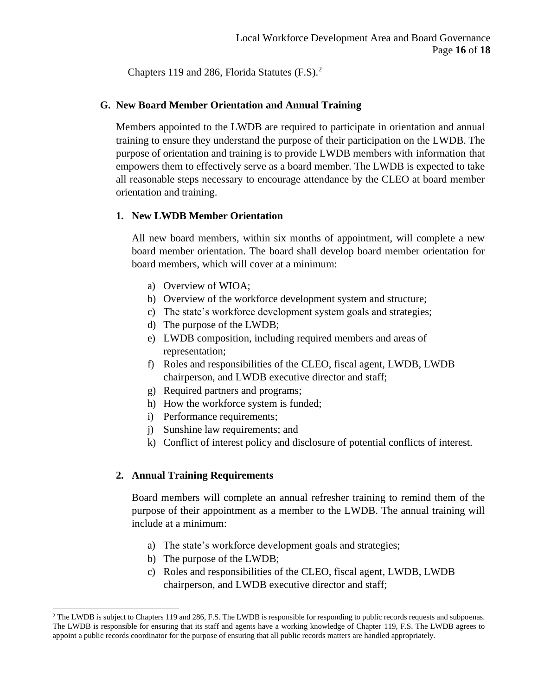Chapters 119 and 286, Florida Statutes (F.S).<sup>2</sup>

#### **G. New Board Member Orientation and Annual Training**

Members appointed to the LWDB are required to participate in orientation and annual training to ensure they understand the purpose of their participation on the LWDB. The purpose of orientation and training is to provide LWDB members with information that empowers them to effectively serve as a board member. The LWDB is expected to take all reasonable steps necessary to encourage attendance by the CLEO at board member orientation and training.

#### **1. New LWDB Member Orientation**

All new board members, within six months of appointment, will complete a new board member orientation. The board shall develop board member orientation for board members, which will cover at a minimum:

- a) Overview of WIOA;
- b) Overview of the workforce development system and structure;
- c) The state's workforce development system goals and strategies;
- d) The purpose of the LWDB;
- e) LWDB composition, including required members and areas of representation;
- f) Roles and responsibilities of the CLEO, fiscal agent, LWDB, LWDB chairperson, and LWDB executive director and staff;
- g) Required partners and programs;
- h) How the workforce system is funded;
- i) Performance requirements;
- j) Sunshine law requirements; and
- k) Conflict of interest policy and disclosure of potential conflicts of interest.

### **2. Annual Training Requirements**

Board members will complete an annual refresher training to remind them of the purpose of their appointment as a member to the LWDB. The annual training will include at a minimum:

- a) The state's workforce development goals and strategies;
- b) The purpose of the LWDB;
- c) Roles and responsibilities of the CLEO, fiscal agent, LWDB, LWDB chairperson, and LWDB executive director and staff;

<sup>&</sup>lt;sup>2</sup> The LWDB is subject to Chapters 119 and 286, F.S. The LWDB is responsible for responding to public records requests and subpoenas. The LWDB is responsible for ensuring that its staff and agents have a working knowledge of Chapter 119, F.S. The LWDB agrees to appoint a public records coordinator for the purpose of ensuring that all public records matters are handled appropriately.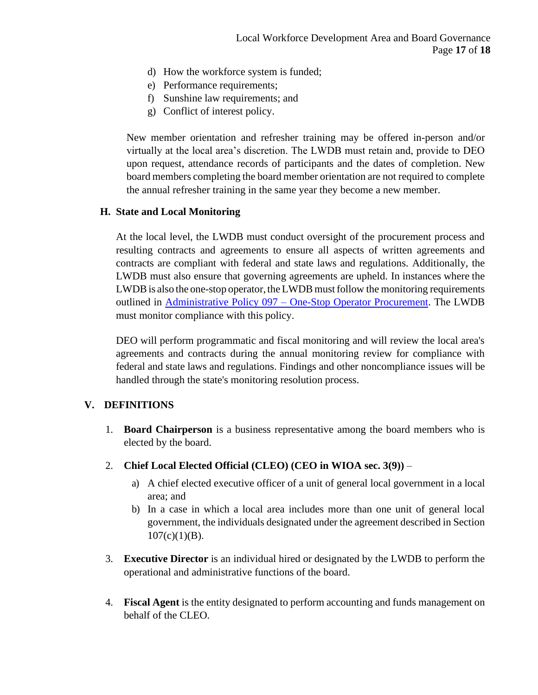- d) How the workforce system is funded;
- e) Performance requirements;
- f) Sunshine law requirements; and
- g) Conflict of interest policy.

New member orientation and refresher training may be offered in-person and/or virtually at the local area's discretion. The LWDB must retain and, provide to DEO upon request, attendance records of participants and the dates of completion. New board members completing the board member orientation are not required to complete the annual refresher training in the same year they become a new member.

#### **H. State and Local Monitoring**

At the local level, the LWDB must conduct oversight of the procurement process and resulting contracts and agreements to ensure all aspects of written agreements and contracts are compliant with federal and state laws and regulations. Additionally, the LWDB must also ensure that governing agreements are upheld. In instances where the LWDB is also the one-stop operator, the LWDB must follow the monitoring requirements outlined in [Administrative Policy 097 –](http://www.floridajobs.org/docs/default-source/lwdb-resources/policy-and-guidance/guidance-papers/2017-guidance-papers/adminpol097_onestopprocurement_final_9252017.pdf?sfvrsn=2acd72b0_6) One-Stop Operator Procurement. The LWDB must monitor compliance with this policy.

DEO will perform programmatic and fiscal monitoring and will review the local area's agreements and contracts during the annual monitoring review for compliance with federal and state laws and regulations. Findings and other noncompliance issues will be handled through the state's monitoring resolution process.

#### **V. DEFINITIONS**

- 1. **Board Chairperson** is a business representative among the board members who is elected by the board.
- 2. **Chief Local Elected Official (CLEO) (CEO in WIOA sec. 3(9))**
	- a) A chief elected executive officer of a unit of general local government in a local area; and
	- b) In a case in which a local area includes more than one unit of general local government, the individuals designated under the agreement described in Section  $107(c)(1)(B)$ .
- 3. **Executive Director** is an individual hired or designated by the LWDB to perform the operational and administrative functions of the board.
- 4. **Fiscal Agent** is the entity designated to perform accounting and funds management on behalf of the CLEO.